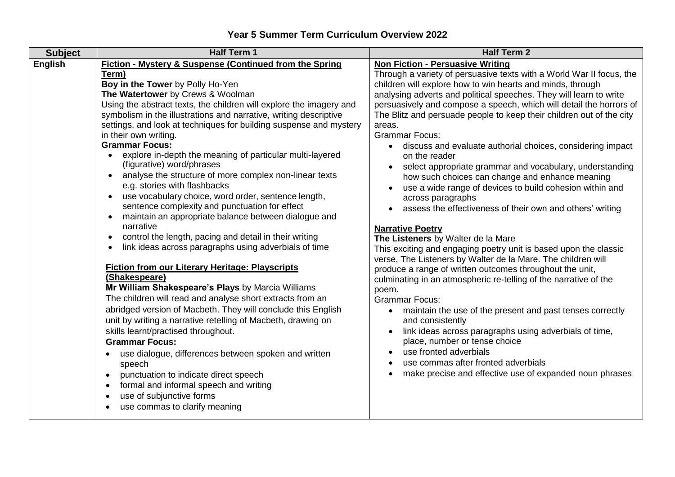| <b>Fiction - Mystery &amp; Suspense (Continued from the Spring</b><br><b>English</b><br><b>Non Fiction - Persuasive Writing</b><br>Through a variety of persuasive texts with a World War II focus, the<br>Term)<br>Boy in the Tower by Polly Ho-Yen<br>children will explore how to win hearts and minds, through<br>The Watertower by Crews & Woolman<br>analysing adverts and political speeches. They will learn to write<br>Using the abstract texts, the children will explore the imagery and<br>persuasively and compose a speech, which will detail the horrors of<br>symbolism in the illustrations and narrative, writing descriptive<br>The Blitz and persuade people to keep their children out of the city<br>settings, and look at techniques for building suspense and mystery<br>areas.<br><b>Grammar Focus:</b><br>in their own writing.<br><b>Grammar Focus:</b><br>• discuss and evaluate authorial choices, considering impact<br>explore in-depth the meaning of particular multi-layered<br>$\bullet$<br>on the reader<br>(figurative) word/phrases<br>select appropriate grammar and vocabulary, understanding<br>analyse the structure of more complex non-linear texts<br>$\bullet$<br>how such choices can change and enhance meaning<br>e.g. stories with flashbacks<br>use a wide range of devices to build cohesion within and<br>use vocabulary choice, word order, sentence length,<br>$\bullet$<br>across paragraphs<br>sentence complexity and punctuation for effect<br>assess the effectiveness of their own and others' writing<br>maintain an appropriate balance between dialogue and<br>$\bullet$<br>narrative<br><b>Narrative Poetry</b><br>control the length, pacing and detail in their writing<br>The Listeners by Walter de la Mare<br>$\bullet$<br>link ideas across paragraphs using adverbials of time<br>This exciting and engaging poetry unit is based upon the classic<br>$\bullet$<br>verse, The Listeners by Walter de la Mare. The children will<br><b>Fiction from our Literary Heritage: Playscripts</b><br>produce a range of written outcomes throughout the unit,<br>(Shakespeare)<br>culminating in an atmospheric re-telling of the narrative of the<br>Mr William Shakespeare's Plays by Marcia Williams<br>poem.<br>The children will read and analyse short extracts from an<br><b>Grammar Focus:</b><br>abridged version of Macbeth. They will conclude this English<br>• maintain the use of the present and past tenses correctly<br>unit by writing a narrative retelling of Macbeth, drawing on<br>and consistently<br>link ideas across paragraphs using adverbials of time,<br>skills learnt/practised throughout.<br>$\bullet$<br>place, number or tense choice<br><b>Grammar Focus:</b><br>use fronted adverbials<br>use dialogue, differences between spoken and written<br>$\bullet$<br>use commas after fronted adverbials<br>speech<br>make precise and effective use of expanded noun phrases<br>punctuation to indicate direct speech<br>$\bullet$<br>formal and informal speech and writing<br>$\bullet$<br>use of subjunctive forms<br>$\bullet$<br>use commas to clarify meaning | <b>Subject</b> | <b>Half Term 1</b> | <b>Half Term 2</b> |
|----------------------------------------------------------------------------------------------------------------------------------------------------------------------------------------------------------------------------------------------------------------------------------------------------------------------------------------------------------------------------------------------------------------------------------------------------------------------------------------------------------------------------------------------------------------------------------------------------------------------------------------------------------------------------------------------------------------------------------------------------------------------------------------------------------------------------------------------------------------------------------------------------------------------------------------------------------------------------------------------------------------------------------------------------------------------------------------------------------------------------------------------------------------------------------------------------------------------------------------------------------------------------------------------------------------------------------------------------------------------------------------------------------------------------------------------------------------------------------------------------------------------------------------------------------------------------------------------------------------------------------------------------------------------------------------------------------------------------------------------------------------------------------------------------------------------------------------------------------------------------------------------------------------------------------------------------------------------------------------------------------------------------------------------------------------------------------------------------------------------------------------------------------------------------------------------------------------------------------------------------------------------------------------------------------------------------------------------------------------------------------------------------------------------------------------------------------------------------------------------------------------------------------------------------------------------------------------------------------------------------------------------------------------------------------------------------------------------------------------------------------------------------------------------------------------------------------------------------------------------------------------------------------------------------------------------------------------------------------------------------------------------------------------------------------------------------------------------------------------------------------------------------------------------|----------------|--------------------|--------------------|
|                                                                                                                                                                                                                                                                                                                                                                                                                                                                                                                                                                                                                                                                                                                                                                                                                                                                                                                                                                                                                                                                                                                                                                                                                                                                                                                                                                                                                                                                                                                                                                                                                                                                                                                                                                                                                                                                                                                                                                                                                                                                                                                                                                                                                                                                                                                                                                                                                                                                                                                                                                                                                                                                                                                                                                                                                                                                                                                                                                                                                                                                                                                                                                      |                |                    |                    |
|                                                                                                                                                                                                                                                                                                                                                                                                                                                                                                                                                                                                                                                                                                                                                                                                                                                                                                                                                                                                                                                                                                                                                                                                                                                                                                                                                                                                                                                                                                                                                                                                                                                                                                                                                                                                                                                                                                                                                                                                                                                                                                                                                                                                                                                                                                                                                                                                                                                                                                                                                                                                                                                                                                                                                                                                                                                                                                                                                                                                                                                                                                                                                                      |                |                    |                    |
|                                                                                                                                                                                                                                                                                                                                                                                                                                                                                                                                                                                                                                                                                                                                                                                                                                                                                                                                                                                                                                                                                                                                                                                                                                                                                                                                                                                                                                                                                                                                                                                                                                                                                                                                                                                                                                                                                                                                                                                                                                                                                                                                                                                                                                                                                                                                                                                                                                                                                                                                                                                                                                                                                                                                                                                                                                                                                                                                                                                                                                                                                                                                                                      |                |                    |                    |
|                                                                                                                                                                                                                                                                                                                                                                                                                                                                                                                                                                                                                                                                                                                                                                                                                                                                                                                                                                                                                                                                                                                                                                                                                                                                                                                                                                                                                                                                                                                                                                                                                                                                                                                                                                                                                                                                                                                                                                                                                                                                                                                                                                                                                                                                                                                                                                                                                                                                                                                                                                                                                                                                                                                                                                                                                                                                                                                                                                                                                                                                                                                                                                      |                |                    |                    |
|                                                                                                                                                                                                                                                                                                                                                                                                                                                                                                                                                                                                                                                                                                                                                                                                                                                                                                                                                                                                                                                                                                                                                                                                                                                                                                                                                                                                                                                                                                                                                                                                                                                                                                                                                                                                                                                                                                                                                                                                                                                                                                                                                                                                                                                                                                                                                                                                                                                                                                                                                                                                                                                                                                                                                                                                                                                                                                                                                                                                                                                                                                                                                                      |                |                    |                    |
|                                                                                                                                                                                                                                                                                                                                                                                                                                                                                                                                                                                                                                                                                                                                                                                                                                                                                                                                                                                                                                                                                                                                                                                                                                                                                                                                                                                                                                                                                                                                                                                                                                                                                                                                                                                                                                                                                                                                                                                                                                                                                                                                                                                                                                                                                                                                                                                                                                                                                                                                                                                                                                                                                                                                                                                                                                                                                                                                                                                                                                                                                                                                                                      |                |                    |                    |
|                                                                                                                                                                                                                                                                                                                                                                                                                                                                                                                                                                                                                                                                                                                                                                                                                                                                                                                                                                                                                                                                                                                                                                                                                                                                                                                                                                                                                                                                                                                                                                                                                                                                                                                                                                                                                                                                                                                                                                                                                                                                                                                                                                                                                                                                                                                                                                                                                                                                                                                                                                                                                                                                                                                                                                                                                                                                                                                                                                                                                                                                                                                                                                      |                |                    |                    |
|                                                                                                                                                                                                                                                                                                                                                                                                                                                                                                                                                                                                                                                                                                                                                                                                                                                                                                                                                                                                                                                                                                                                                                                                                                                                                                                                                                                                                                                                                                                                                                                                                                                                                                                                                                                                                                                                                                                                                                                                                                                                                                                                                                                                                                                                                                                                                                                                                                                                                                                                                                                                                                                                                                                                                                                                                                                                                                                                                                                                                                                                                                                                                                      |                |                    |                    |
|                                                                                                                                                                                                                                                                                                                                                                                                                                                                                                                                                                                                                                                                                                                                                                                                                                                                                                                                                                                                                                                                                                                                                                                                                                                                                                                                                                                                                                                                                                                                                                                                                                                                                                                                                                                                                                                                                                                                                                                                                                                                                                                                                                                                                                                                                                                                                                                                                                                                                                                                                                                                                                                                                                                                                                                                                                                                                                                                                                                                                                                                                                                                                                      |                |                    |                    |
|                                                                                                                                                                                                                                                                                                                                                                                                                                                                                                                                                                                                                                                                                                                                                                                                                                                                                                                                                                                                                                                                                                                                                                                                                                                                                                                                                                                                                                                                                                                                                                                                                                                                                                                                                                                                                                                                                                                                                                                                                                                                                                                                                                                                                                                                                                                                                                                                                                                                                                                                                                                                                                                                                                                                                                                                                                                                                                                                                                                                                                                                                                                                                                      |                |                    |                    |
|                                                                                                                                                                                                                                                                                                                                                                                                                                                                                                                                                                                                                                                                                                                                                                                                                                                                                                                                                                                                                                                                                                                                                                                                                                                                                                                                                                                                                                                                                                                                                                                                                                                                                                                                                                                                                                                                                                                                                                                                                                                                                                                                                                                                                                                                                                                                                                                                                                                                                                                                                                                                                                                                                                                                                                                                                                                                                                                                                                                                                                                                                                                                                                      |                |                    |                    |
|                                                                                                                                                                                                                                                                                                                                                                                                                                                                                                                                                                                                                                                                                                                                                                                                                                                                                                                                                                                                                                                                                                                                                                                                                                                                                                                                                                                                                                                                                                                                                                                                                                                                                                                                                                                                                                                                                                                                                                                                                                                                                                                                                                                                                                                                                                                                                                                                                                                                                                                                                                                                                                                                                                                                                                                                                                                                                                                                                                                                                                                                                                                                                                      |                |                    |                    |
|                                                                                                                                                                                                                                                                                                                                                                                                                                                                                                                                                                                                                                                                                                                                                                                                                                                                                                                                                                                                                                                                                                                                                                                                                                                                                                                                                                                                                                                                                                                                                                                                                                                                                                                                                                                                                                                                                                                                                                                                                                                                                                                                                                                                                                                                                                                                                                                                                                                                                                                                                                                                                                                                                                                                                                                                                                                                                                                                                                                                                                                                                                                                                                      |                |                    |                    |
|                                                                                                                                                                                                                                                                                                                                                                                                                                                                                                                                                                                                                                                                                                                                                                                                                                                                                                                                                                                                                                                                                                                                                                                                                                                                                                                                                                                                                                                                                                                                                                                                                                                                                                                                                                                                                                                                                                                                                                                                                                                                                                                                                                                                                                                                                                                                                                                                                                                                                                                                                                                                                                                                                                                                                                                                                                                                                                                                                                                                                                                                                                                                                                      |                |                    |                    |
|                                                                                                                                                                                                                                                                                                                                                                                                                                                                                                                                                                                                                                                                                                                                                                                                                                                                                                                                                                                                                                                                                                                                                                                                                                                                                                                                                                                                                                                                                                                                                                                                                                                                                                                                                                                                                                                                                                                                                                                                                                                                                                                                                                                                                                                                                                                                                                                                                                                                                                                                                                                                                                                                                                                                                                                                                                                                                                                                                                                                                                                                                                                                                                      |                |                    |                    |
|                                                                                                                                                                                                                                                                                                                                                                                                                                                                                                                                                                                                                                                                                                                                                                                                                                                                                                                                                                                                                                                                                                                                                                                                                                                                                                                                                                                                                                                                                                                                                                                                                                                                                                                                                                                                                                                                                                                                                                                                                                                                                                                                                                                                                                                                                                                                                                                                                                                                                                                                                                                                                                                                                                                                                                                                                                                                                                                                                                                                                                                                                                                                                                      |                |                    |                    |
|                                                                                                                                                                                                                                                                                                                                                                                                                                                                                                                                                                                                                                                                                                                                                                                                                                                                                                                                                                                                                                                                                                                                                                                                                                                                                                                                                                                                                                                                                                                                                                                                                                                                                                                                                                                                                                                                                                                                                                                                                                                                                                                                                                                                                                                                                                                                                                                                                                                                                                                                                                                                                                                                                                                                                                                                                                                                                                                                                                                                                                                                                                                                                                      |                |                    |                    |
|                                                                                                                                                                                                                                                                                                                                                                                                                                                                                                                                                                                                                                                                                                                                                                                                                                                                                                                                                                                                                                                                                                                                                                                                                                                                                                                                                                                                                                                                                                                                                                                                                                                                                                                                                                                                                                                                                                                                                                                                                                                                                                                                                                                                                                                                                                                                                                                                                                                                                                                                                                                                                                                                                                                                                                                                                                                                                                                                                                                                                                                                                                                                                                      |                |                    |                    |
|                                                                                                                                                                                                                                                                                                                                                                                                                                                                                                                                                                                                                                                                                                                                                                                                                                                                                                                                                                                                                                                                                                                                                                                                                                                                                                                                                                                                                                                                                                                                                                                                                                                                                                                                                                                                                                                                                                                                                                                                                                                                                                                                                                                                                                                                                                                                                                                                                                                                                                                                                                                                                                                                                                                                                                                                                                                                                                                                                                                                                                                                                                                                                                      |                |                    |                    |
|                                                                                                                                                                                                                                                                                                                                                                                                                                                                                                                                                                                                                                                                                                                                                                                                                                                                                                                                                                                                                                                                                                                                                                                                                                                                                                                                                                                                                                                                                                                                                                                                                                                                                                                                                                                                                                                                                                                                                                                                                                                                                                                                                                                                                                                                                                                                                                                                                                                                                                                                                                                                                                                                                                                                                                                                                                                                                                                                                                                                                                                                                                                                                                      |                |                    |                    |
|                                                                                                                                                                                                                                                                                                                                                                                                                                                                                                                                                                                                                                                                                                                                                                                                                                                                                                                                                                                                                                                                                                                                                                                                                                                                                                                                                                                                                                                                                                                                                                                                                                                                                                                                                                                                                                                                                                                                                                                                                                                                                                                                                                                                                                                                                                                                                                                                                                                                                                                                                                                                                                                                                                                                                                                                                                                                                                                                                                                                                                                                                                                                                                      |                |                    |                    |
|                                                                                                                                                                                                                                                                                                                                                                                                                                                                                                                                                                                                                                                                                                                                                                                                                                                                                                                                                                                                                                                                                                                                                                                                                                                                                                                                                                                                                                                                                                                                                                                                                                                                                                                                                                                                                                                                                                                                                                                                                                                                                                                                                                                                                                                                                                                                                                                                                                                                                                                                                                                                                                                                                                                                                                                                                                                                                                                                                                                                                                                                                                                                                                      |                |                    |                    |
|                                                                                                                                                                                                                                                                                                                                                                                                                                                                                                                                                                                                                                                                                                                                                                                                                                                                                                                                                                                                                                                                                                                                                                                                                                                                                                                                                                                                                                                                                                                                                                                                                                                                                                                                                                                                                                                                                                                                                                                                                                                                                                                                                                                                                                                                                                                                                                                                                                                                                                                                                                                                                                                                                                                                                                                                                                                                                                                                                                                                                                                                                                                                                                      |                |                    |                    |
|                                                                                                                                                                                                                                                                                                                                                                                                                                                                                                                                                                                                                                                                                                                                                                                                                                                                                                                                                                                                                                                                                                                                                                                                                                                                                                                                                                                                                                                                                                                                                                                                                                                                                                                                                                                                                                                                                                                                                                                                                                                                                                                                                                                                                                                                                                                                                                                                                                                                                                                                                                                                                                                                                                                                                                                                                                                                                                                                                                                                                                                                                                                                                                      |                |                    |                    |
|                                                                                                                                                                                                                                                                                                                                                                                                                                                                                                                                                                                                                                                                                                                                                                                                                                                                                                                                                                                                                                                                                                                                                                                                                                                                                                                                                                                                                                                                                                                                                                                                                                                                                                                                                                                                                                                                                                                                                                                                                                                                                                                                                                                                                                                                                                                                                                                                                                                                                                                                                                                                                                                                                                                                                                                                                                                                                                                                                                                                                                                                                                                                                                      |                |                    |                    |
|                                                                                                                                                                                                                                                                                                                                                                                                                                                                                                                                                                                                                                                                                                                                                                                                                                                                                                                                                                                                                                                                                                                                                                                                                                                                                                                                                                                                                                                                                                                                                                                                                                                                                                                                                                                                                                                                                                                                                                                                                                                                                                                                                                                                                                                                                                                                                                                                                                                                                                                                                                                                                                                                                                                                                                                                                                                                                                                                                                                                                                                                                                                                                                      |                |                    |                    |
|                                                                                                                                                                                                                                                                                                                                                                                                                                                                                                                                                                                                                                                                                                                                                                                                                                                                                                                                                                                                                                                                                                                                                                                                                                                                                                                                                                                                                                                                                                                                                                                                                                                                                                                                                                                                                                                                                                                                                                                                                                                                                                                                                                                                                                                                                                                                                                                                                                                                                                                                                                                                                                                                                                                                                                                                                                                                                                                                                                                                                                                                                                                                                                      |                |                    |                    |
|                                                                                                                                                                                                                                                                                                                                                                                                                                                                                                                                                                                                                                                                                                                                                                                                                                                                                                                                                                                                                                                                                                                                                                                                                                                                                                                                                                                                                                                                                                                                                                                                                                                                                                                                                                                                                                                                                                                                                                                                                                                                                                                                                                                                                                                                                                                                                                                                                                                                                                                                                                                                                                                                                                                                                                                                                                                                                                                                                                                                                                                                                                                                                                      |                |                    |                    |
|                                                                                                                                                                                                                                                                                                                                                                                                                                                                                                                                                                                                                                                                                                                                                                                                                                                                                                                                                                                                                                                                                                                                                                                                                                                                                                                                                                                                                                                                                                                                                                                                                                                                                                                                                                                                                                                                                                                                                                                                                                                                                                                                                                                                                                                                                                                                                                                                                                                                                                                                                                                                                                                                                                                                                                                                                                                                                                                                                                                                                                                                                                                                                                      |                |                    |                    |
|                                                                                                                                                                                                                                                                                                                                                                                                                                                                                                                                                                                                                                                                                                                                                                                                                                                                                                                                                                                                                                                                                                                                                                                                                                                                                                                                                                                                                                                                                                                                                                                                                                                                                                                                                                                                                                                                                                                                                                                                                                                                                                                                                                                                                                                                                                                                                                                                                                                                                                                                                                                                                                                                                                                                                                                                                                                                                                                                                                                                                                                                                                                                                                      |                |                    |                    |
|                                                                                                                                                                                                                                                                                                                                                                                                                                                                                                                                                                                                                                                                                                                                                                                                                                                                                                                                                                                                                                                                                                                                                                                                                                                                                                                                                                                                                                                                                                                                                                                                                                                                                                                                                                                                                                                                                                                                                                                                                                                                                                                                                                                                                                                                                                                                                                                                                                                                                                                                                                                                                                                                                                                                                                                                                                                                                                                                                                                                                                                                                                                                                                      |                |                    |                    |
|                                                                                                                                                                                                                                                                                                                                                                                                                                                                                                                                                                                                                                                                                                                                                                                                                                                                                                                                                                                                                                                                                                                                                                                                                                                                                                                                                                                                                                                                                                                                                                                                                                                                                                                                                                                                                                                                                                                                                                                                                                                                                                                                                                                                                                                                                                                                                                                                                                                                                                                                                                                                                                                                                                                                                                                                                                                                                                                                                                                                                                                                                                                                                                      |                |                    |                    |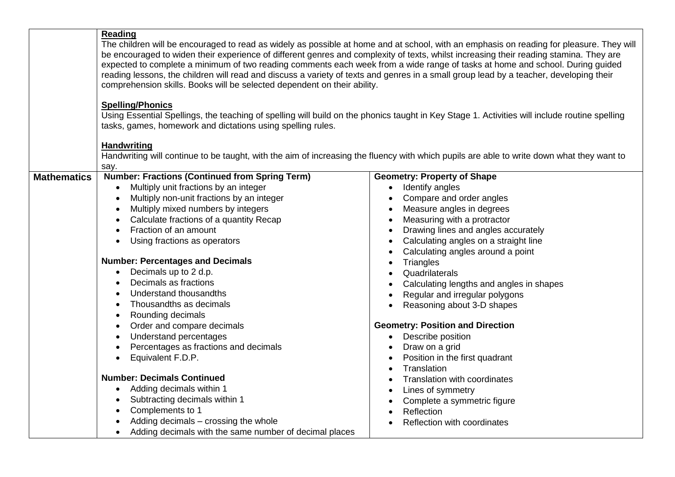|                    | Reading<br>The children will be encouraged to read as widely as possible at home and at school, with an emphasis on reading for pleasure. They will<br>be encouraged to widen their experience of different genres and complexity of texts, whilst increasing their reading stamina. They are<br>expected to complete a minimum of two reading comments each week from a wide range of tasks at home and school. During guided<br>reading lessons, the children will read and discuss a variety of texts and genres in a small group lead by a teacher, developing their<br>comprehension skills. Books will be selected dependent on their ability.<br><b>Spelling/Phonics</b><br>Using Essential Spellings, the teaching of spelling will build on the phonics taught in Key Stage 1. Activities will include routine spelling<br>tasks, games, homework and dictations using spelling rules.<br><b>Handwriting</b> |                                          |  |
|--------------------|-----------------------------------------------------------------------------------------------------------------------------------------------------------------------------------------------------------------------------------------------------------------------------------------------------------------------------------------------------------------------------------------------------------------------------------------------------------------------------------------------------------------------------------------------------------------------------------------------------------------------------------------------------------------------------------------------------------------------------------------------------------------------------------------------------------------------------------------------------------------------------------------------------------------------|------------------------------------------|--|
|                    | Handwriting will continue to be taught, with the aim of increasing the fluency with which pupils are able to write down what they want to<br>say.                                                                                                                                                                                                                                                                                                                                                                                                                                                                                                                                                                                                                                                                                                                                                                     |                                          |  |
| <b>Mathematics</b> | <b>Number: Fractions (Continued from Spring Term)</b>                                                                                                                                                                                                                                                                                                                                                                                                                                                                                                                                                                                                                                                                                                                                                                                                                                                                 | <b>Geometry: Property of Shape</b>       |  |
|                    | Multiply unit fractions by an integer                                                                                                                                                                                                                                                                                                                                                                                                                                                                                                                                                                                                                                                                                                                                                                                                                                                                                 | • Identify angles                        |  |
|                    | Multiply non-unit fractions by an integer                                                                                                                                                                                                                                                                                                                                                                                                                                                                                                                                                                                                                                                                                                                                                                                                                                                                             | Compare and order angles                 |  |
|                    | Multiply mixed numbers by integers                                                                                                                                                                                                                                                                                                                                                                                                                                                                                                                                                                                                                                                                                                                                                                                                                                                                                    | Measure angles in degrees                |  |
|                    | Calculate fractions of a quantity Recap                                                                                                                                                                                                                                                                                                                                                                                                                                                                                                                                                                                                                                                                                                                                                                                                                                                                               | Measuring with a protractor              |  |
|                    | Fraction of an amount<br>$\bullet$                                                                                                                                                                                                                                                                                                                                                                                                                                                                                                                                                                                                                                                                                                                                                                                                                                                                                    | Drawing lines and angles accurately      |  |
|                    | Using fractions as operators                                                                                                                                                                                                                                                                                                                                                                                                                                                                                                                                                                                                                                                                                                                                                                                                                                                                                          | Calculating angles on a straight line    |  |
|                    |                                                                                                                                                                                                                                                                                                                                                                                                                                                                                                                                                                                                                                                                                                                                                                                                                                                                                                                       | Calculating angles around a point        |  |
|                    | <b>Number: Percentages and Decimals</b>                                                                                                                                                                                                                                                                                                                                                                                                                                                                                                                                                                                                                                                                                                                                                                                                                                                                               | Triangles                                |  |
|                    | Decimals up to 2 d.p.                                                                                                                                                                                                                                                                                                                                                                                                                                                                                                                                                                                                                                                                                                                                                                                                                                                                                                 | Quadrilaterals                           |  |
|                    | Decimals as fractions                                                                                                                                                                                                                                                                                                                                                                                                                                                                                                                                                                                                                                                                                                                                                                                                                                                                                                 | Calculating lengths and angles in shapes |  |
|                    | Understand thousandths<br>Thousandths as decimals                                                                                                                                                                                                                                                                                                                                                                                                                                                                                                                                                                                                                                                                                                                                                                                                                                                                     | Regular and irregular polygons           |  |
|                    |                                                                                                                                                                                                                                                                                                                                                                                                                                                                                                                                                                                                                                                                                                                                                                                                                                                                                                                       | Reasoning about 3-D shapes               |  |
|                    | Rounding decimals<br>$\bullet$<br>Order and compare decimals                                                                                                                                                                                                                                                                                                                                                                                                                                                                                                                                                                                                                                                                                                                                                                                                                                                          | <b>Geometry: Position and Direction</b>  |  |
|                    | Understand percentages<br>$\bullet$                                                                                                                                                                                                                                                                                                                                                                                                                                                                                                                                                                                                                                                                                                                                                                                                                                                                                   | Describe position                        |  |
|                    | Percentages as fractions and decimals                                                                                                                                                                                                                                                                                                                                                                                                                                                                                                                                                                                                                                                                                                                                                                                                                                                                                 | Draw on a grid                           |  |
|                    | Equivalent F.D.P.<br>$\bullet$                                                                                                                                                                                                                                                                                                                                                                                                                                                                                                                                                                                                                                                                                                                                                                                                                                                                                        | Position in the first quadrant           |  |
|                    |                                                                                                                                                                                                                                                                                                                                                                                                                                                                                                                                                                                                                                                                                                                                                                                                                                                                                                                       | Translation                              |  |
|                    | <b>Number: Decimals Continued</b>                                                                                                                                                                                                                                                                                                                                                                                                                                                                                                                                                                                                                                                                                                                                                                                                                                                                                     | <b>Translation with coordinates</b>      |  |
|                    | Adding decimals within 1<br>$\bullet$                                                                                                                                                                                                                                                                                                                                                                                                                                                                                                                                                                                                                                                                                                                                                                                                                                                                                 | Lines of symmetry                        |  |
|                    | Subtracting decimals within 1                                                                                                                                                                                                                                                                                                                                                                                                                                                                                                                                                                                                                                                                                                                                                                                                                                                                                         | Complete a symmetric figure              |  |
|                    | Complements to 1<br>$\bullet$                                                                                                                                                                                                                                                                                                                                                                                                                                                                                                                                                                                                                                                                                                                                                                                                                                                                                         | Reflection                               |  |
|                    | Adding decimals – crossing the whole                                                                                                                                                                                                                                                                                                                                                                                                                                                                                                                                                                                                                                                                                                                                                                                                                                                                                  | Reflection with coordinates              |  |
|                    | Adding decimals with the same number of decimal places                                                                                                                                                                                                                                                                                                                                                                                                                                                                                                                                                                                                                                                                                                                                                                                                                                                                |                                          |  |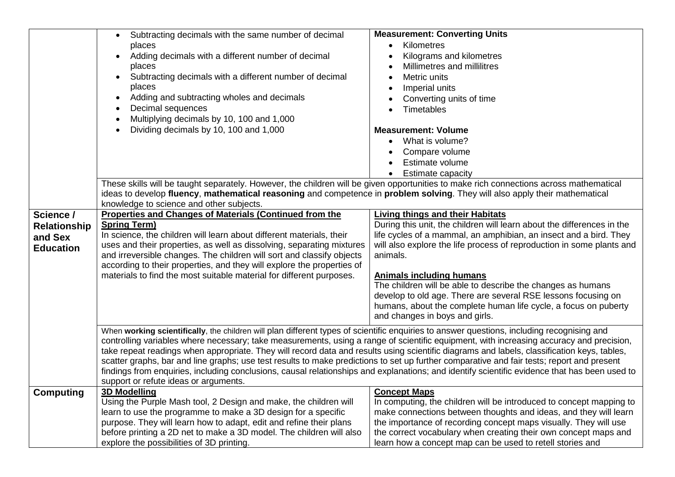|                     | • Subtracting decimals with the same number of decimal<br>places<br>Adding decimals with a different number of decimal<br>places<br>Subtracting decimals with a different number of decimal                                                                                                                                                                                                                                           | <b>Measurement: Converting Units</b><br>Kilometres<br>$\bullet$<br>Kilograms and kilometres<br>Millimetres and millilitres<br>Metric units    |  |
|---------------------|---------------------------------------------------------------------------------------------------------------------------------------------------------------------------------------------------------------------------------------------------------------------------------------------------------------------------------------------------------------------------------------------------------------------------------------|-----------------------------------------------------------------------------------------------------------------------------------------------|--|
|                     | places<br>Adding and subtracting wholes and decimals<br>Decimal sequences<br>Multiplying decimals by 10, 100 and 1,000<br>Dividing decimals by 10, 100 and 1,000                                                                                                                                                                                                                                                                      | Imperial units<br>Converting units of time<br>Timetables<br><b>Measurement: Volume</b>                                                        |  |
|                     |                                                                                                                                                                                                                                                                                                                                                                                                                                       | • What is volume?<br>Compare volume<br>Estimate volume<br><b>Estimate capacity</b>                                                            |  |
|                     | These skills will be taught separately. However, the children will be given opportunities to make rich connections across mathematical<br>ideas to develop fluency, mathematical reasoning and competence in problem solving. They will also apply their mathematical<br>knowledge to science and other subjects.                                                                                                                     |                                                                                                                                               |  |
| Science /           | <b>Properties and Changes of Materials (Continued from the</b>                                                                                                                                                                                                                                                                                                                                                                        | <b>Living things and their Habitats</b>                                                                                                       |  |
| <b>Relationship</b> | <b>Spring Term)</b>                                                                                                                                                                                                                                                                                                                                                                                                                   | During this unit, the children will learn about the differences in the                                                                        |  |
| and Sex             | In science, the children will learn about different materials, their                                                                                                                                                                                                                                                                                                                                                                  | life cycles of a mammal, an amphibian, an insect and a bird. They                                                                             |  |
| <b>Education</b>    | uses and their properties, as well as dissolving, separating mixtures                                                                                                                                                                                                                                                                                                                                                                 | will also explore the life process of reproduction in some plants and                                                                         |  |
|                     | and irreversible changes. The children will sort and classify objects<br>according to their properties, and they will explore the properties of                                                                                                                                                                                                                                                                                       | animals.                                                                                                                                      |  |
|                     | materials to find the most suitable material for different purposes.                                                                                                                                                                                                                                                                                                                                                                  | <b>Animals including humans</b>                                                                                                               |  |
|                     |                                                                                                                                                                                                                                                                                                                                                                                                                                       | The children will be able to describe the changes as humans                                                                                   |  |
|                     |                                                                                                                                                                                                                                                                                                                                                                                                                                       | develop to old age. There are several RSE lessons focusing on                                                                                 |  |
|                     |                                                                                                                                                                                                                                                                                                                                                                                                                                       | humans, about the complete human life cycle, a focus on puberty                                                                               |  |
|                     |                                                                                                                                                                                                                                                                                                                                                                                                                                       | and changes in boys and girls.                                                                                                                |  |
|                     | When working scientifically, the children will plan different types of scientific enquiries to answer questions, including recognising and<br>controlling variables where necessary; take measurements, using a range of scientific equipment, with increasing accuracy and precision,<br>take repeat readings when appropriate. They will record data and results using scientific diagrams and labels, classification keys, tables, |                                                                                                                                               |  |
|                     |                                                                                                                                                                                                                                                                                                                                                                                                                                       | scatter graphs, bar and line graphs; use test results to make predictions to set up further comparative and fair tests; report and present    |  |
|                     | support or refute ideas or arguments.                                                                                                                                                                                                                                                                                                                                                                                                 | findings from enquiries, including conclusions, causal relationships and explanations; and identify scientific evidence that has been used to |  |
| <b>Computing</b>    | <b>3D Modelling</b>                                                                                                                                                                                                                                                                                                                                                                                                                   | <b>Concept Maps</b>                                                                                                                           |  |
|                     | Using the Purple Mash tool, 2 Design and make, the children will                                                                                                                                                                                                                                                                                                                                                                      | In computing, the children will be introduced to concept mapping to                                                                           |  |
|                     | learn to use the programme to make a 3D design for a specific                                                                                                                                                                                                                                                                                                                                                                         | make connections between thoughts and ideas, and they will learn                                                                              |  |
|                     | purpose. They will learn how to adapt, edit and refine their plans                                                                                                                                                                                                                                                                                                                                                                    | the importance of recording concept maps visually. They will use                                                                              |  |
|                     | before printing a 2D net to make a 3D model. The children will also                                                                                                                                                                                                                                                                                                                                                                   | the correct vocabulary when creating their own concept maps and                                                                               |  |
|                     | explore the possibilities of 3D printing.                                                                                                                                                                                                                                                                                                                                                                                             | learn how a concept map can be used to retell stories and                                                                                     |  |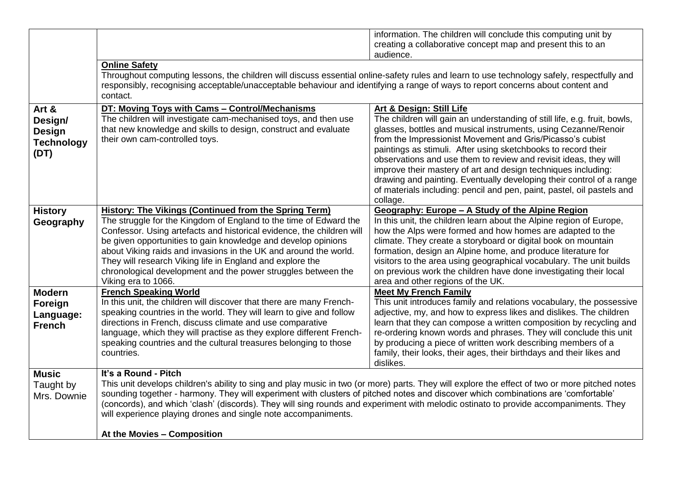|                                                                |                                                                                                                                                                                                                                                                                                                                                                                                                                                                                                                                                       | information. The children will conclude this computing unit by<br>creating a collaborative concept map and present this to an<br>audience.                                                                                                                                                                                                                                                                                                                                                                                                                                                                          |  |
|----------------------------------------------------------------|-------------------------------------------------------------------------------------------------------------------------------------------------------------------------------------------------------------------------------------------------------------------------------------------------------------------------------------------------------------------------------------------------------------------------------------------------------------------------------------------------------------------------------------------------------|---------------------------------------------------------------------------------------------------------------------------------------------------------------------------------------------------------------------------------------------------------------------------------------------------------------------------------------------------------------------------------------------------------------------------------------------------------------------------------------------------------------------------------------------------------------------------------------------------------------------|--|
|                                                                | <b>Online Safety</b><br>Throughout computing lessons, the children will discuss essential online-safety rules and learn to use technology safely, respectfully and<br>responsibly, recognising acceptable/unacceptable behaviour and identifying a range of ways to report concerns about content and<br>contact.                                                                                                                                                                                                                                     |                                                                                                                                                                                                                                                                                                                                                                                                                                                                                                                                                                                                                     |  |
| Art &<br>Design/<br><b>Design</b><br><b>Technology</b><br>(DT) | DT: Moving Toys with Cams - Control/Mechanisms<br>The children will investigate cam-mechanised toys, and then use<br>that new knowledge and skills to design, construct and evaluate<br>their own cam-controlled toys.                                                                                                                                                                                                                                                                                                                                | <b>Art &amp; Design: Still Life</b><br>The children will gain an understanding of still life, e.g. fruit, bowls,<br>glasses, bottles and musical instruments, using Cezanne/Renoir<br>from the Impressionist Movement and Gris/Picasso's cubist<br>paintings as stimuli. After using sketchbooks to record their<br>observations and use them to review and revisit ideas, they will<br>improve their mastery of art and design techniques including:<br>drawing and painting. Eventually developing their control of a range<br>of materials including: pencil and pen, paint, pastel, oil pastels and<br>collage. |  |
| <b>History</b><br>Geography                                    | <b>History: The Vikings (Continued from the Spring Term)</b><br>The struggle for the Kingdom of England to the time of Edward the<br>Confessor. Using artefacts and historical evidence, the children will<br>be given opportunities to gain knowledge and develop opinions<br>about Viking raids and invasions in the UK and around the world.<br>They will research Viking life in England and explore the<br>chronological development and the power struggles between the<br>Viking era to 1066.                                                  | Geography: Europe - A Study of the Alpine Region<br>In this unit, the children learn about the Alpine region of Europe,<br>how the Alps were formed and how homes are adapted to the<br>climate. They create a storyboard or digital book on mountain<br>formation, design an Alpine home, and produce literature for<br>visitors to the area using geographical vocabulary. The unit builds<br>on previous work the children have done investigating their local<br>area and other regions of the UK.                                                                                                              |  |
| <b>Modern</b><br>Foreign<br>Language:<br><b>French</b>         | <b>French Speaking World</b><br>In this unit, the children will discover that there are many French-<br>speaking countries in the world. They will learn to give and follow<br>directions in French, discuss climate and use comparative<br>language, which they will practise as they explore different French-<br>speaking countries and the cultural treasures belonging to those<br>countries.                                                                                                                                                    | <b>Meet My French Family</b><br>This unit introduces family and relations vocabulary, the possessive<br>adjective, my, and how to express likes and dislikes. The children<br>learn that they can compose a written composition by recycling and<br>re-ordering known words and phrases. They will conclude this unit<br>by producing a piece of written work describing members of a<br>family, their looks, their ages, their birthdays and their likes and<br>dislikes.                                                                                                                                          |  |
| <b>Music</b><br>Taught by<br>Mrs. Downie                       | It's a Round - Pitch<br>This unit develops children's ability to sing and play music in two (or more) parts. They will explore the effect of two or more pitched notes<br>sounding together - harmony. They will experiment with clusters of pitched notes and discover which combinations are 'comfortable'<br>(concords), and which 'clash' (discords). They will sing rounds and experiment with melodic ostinato to provide accompaniments. They<br>will experience playing drones and single note accompaniments.<br>At the Movies - Composition |                                                                                                                                                                                                                                                                                                                                                                                                                                                                                                                                                                                                                     |  |